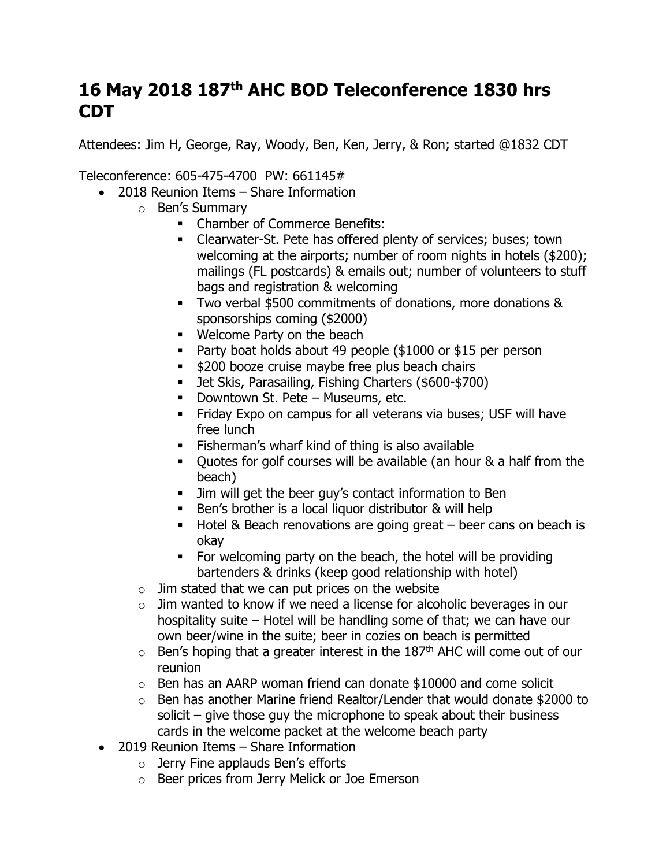## **16 May 2018 187th AHC BOD Teleconference 1830 hrs CDT**

Attendees: Jim H, George, Ray, Woody, Ben, Ken, Jerry, & Ron; started @1832 CDT

Teleconference: 605-475-4700 PW: 661145#

- 2018 Reunion Items Share Information
	- o Ben's Summary
		- Chamber of Commerce Benefits:
		- Clearwater-St. Pete has offered plenty of services; buses; town welcoming at the airports; number of room nights in hotels (\$200); mailings (FL postcards) & emails out; number of volunteers to stuff bags and registration & welcoming
		- Two verbal \$500 commitments of donations, more donations & sponsorships coming (\$2000)
		- Welcome Party on the beach
		- Party boat holds about 49 people (\$1000 or \$15 per person
		- \$200 booze cruise maybe free plus beach chairs
		- Jet Skis, Parasailing, Fishing Charters (\$600-\$700)
		- Downtown St. Pete Museums, etc.
		- **EXECT FRIMALES IN EXAGGLE 15 FRIMALES** Friday Expo on campus for all veterans via buses; USF will have free lunch
		- Fisherman's wharf kind of thing is also available
		- Quotes for golf courses will be available (an hour & a half from the beach)
		- **EXECT** Jim will get the beer guy's contact information to Ben
		- Ben's brother is a local liquor distributor & will help
		- $\blacksquare$  Hotel & Beach renovations are going great beer cans on beach is okay
		- For welcoming party on the beach, the hotel will be providing bartenders & drinks (keep good relationship with hotel)
	- $\circ$  Jim stated that we can put prices on the website
	- $\circ$  Jim wanted to know if we need a license for alcoholic beverages in our hospitality suite – Hotel will be handling some of that; we can have our own beer/wine in the suite; beer in cozies on beach is permitted
	- $\circ$  Ben's hoping that a greater interest in the 187<sup>th</sup> AHC will come out of our reunion
	- $\circ$  Ben has an AARP woman friend can donate \$10000 and come solicit
	- o Ben has another Marine friend Realtor/Lender that would donate \$2000 to solicit – give those guy the microphone to speak about their business cards in the welcome packet at the welcome beach party
- 2019 Reunion Items Share Information
	- $\circ$  Jerry Fine applauds Ben's efforts
	- o Beer prices from Jerry Melick or Joe Emerson